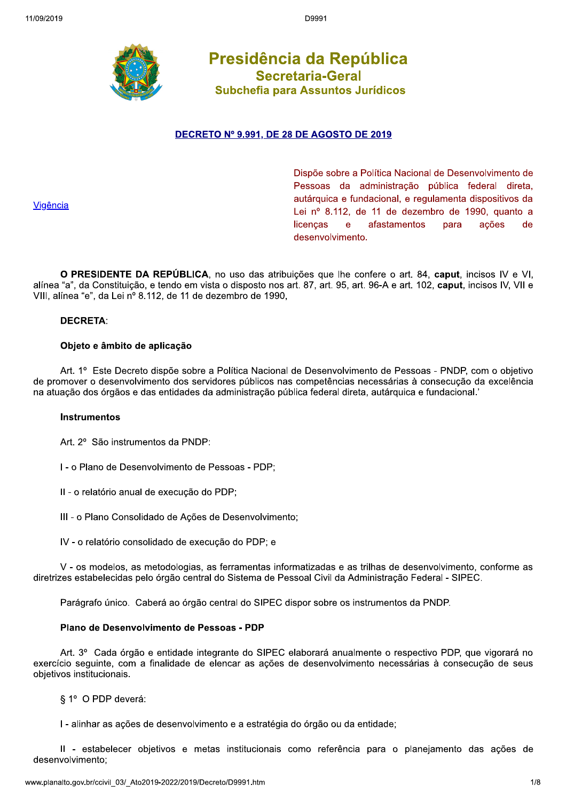

Presidência da República **Secretaria-Geral** Subchefia para Assuntos Jurídicos

# DECRETO Nº 9.991, DE 28 DE AGOSTO DE 2019

Vigência

Dispõe sobre a Política Nacional de Desenvolvimento de Pessoas da administração pública federal direta, autárquica e fundacional, e regulamenta dispositivos da Lei nº 8.112, de 11 de dezembro de 1990, quanto a licencas  $\mathbf{e}$ afastamentos para ações de desenvolvimento.

O PRESIDENTE DA REPÚBLICA, no uso das atribuições que lhe confere o art. 84, caput, incisos IV e VI, alínea "a", da Constituição, e tendo em vista o disposto nos art. 87, art. 95, art. 96-A e art. 102, caput, incisos IV, VII e VIII, alínea "e", da Lei nº 8.112, de 11 de dezembro de 1990,

# **DECRETA:**

# Objeto e âmbito de aplicação

Art. 1º Este Decreto dispõe sobre a Política Nacional de Desenvolvimento de Pessoas - PNDP, com o objetivo de promover o desenvolvimento dos servidores públicos nas competências necessárias à consecução da excelência na atuação dos órgãos e das entidades da administração pública federal direta, autárquica e fundacional.

### **Instrumentos**

Art. 2º São instrumentos da PNDP:

I - o Plano de Desenvolvimento de Pessoas - PDP;

II - o relatório anual de execução do PDP;

III - o Plano Consolidado de Ações de Desenvolvimento;

IV - o relatório consolidado de execução do PDP; e

V - os modelos, as metodologias, as ferramentas informatizadas e as trilhas de desenvolvimento, conforme as diretrizes estabelecidas pelo órgão central do Sistema de Pessoal Civil da Administração Federal - SIPEC.

Parágrafo único. Caberá ao órgão central do SIPEC dispor sobre os instrumentos da PNDP.

### Plano de Desenvolvimento de Pessoas - PDP

Art. 3º Cada órgão e entidade integrante do SIPEC elaborará anualmente o respectivo PDP, que vigorará no exercício seguinte, com a finalidade de elencar as ações de desenvolvimento necessárias à consecução de seus objetivos institucionais.

§ 1º O PDP deverá:

I - alinhar as ações de desenvolvimento e a estratégia do órgão ou da entidade:

Il - estabelecer objetivos e metas institucionais como referência para o planejamento das ações de desenvolvimento;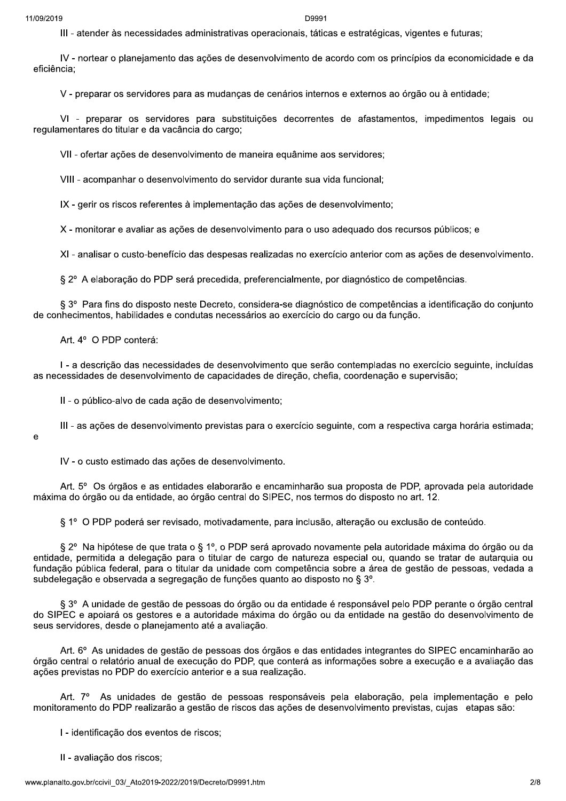III - atender às necessidades administrativas operacionais, táticas e estratégicas, vigentes e futuras;

IV - nortear o planejamento das ações de desenvolvimento de acordo com os princípios da economicidade e da eficiência;

V - preparar os servidores para as mudanças de cenários internos e externos ao órgão ou à entidade;

VI - preparar os servidores para substituições decorrentes de afastamentos, impedimentos legais ou regulamentares do titular e da vacância do cargo;

VII - ofertar ações de desenvolvimento de maneira equânime aos servidores;

VIII - acompanhar o desenvolvimento do servidor durante sua vida funcional;

IX - gerir os riscos referentes à implementação das ações de desenvolvimento;

X - monitorar e avaliar as ações de desenvolvimento para o uso adequado dos recursos públicos; e

XI - analisar o custo-benefício das despesas realizadas no exercício anterior com as ações de desenvolvimento.

§ 2º A elaboração do PDP será precedida, preferencialmente, por diagnóstico de competências.

§ 3º Para fins do disposto neste Decreto, considera-se diagnóstico de competências a identificação do conjunto de conhecimentos, habilidades e condutas necessários ao exercício do cargo ou da função.

Art. 4° O PDP conterá:

I - a descrição das necessidades de desenvolvimento que serão contempladas no exercício seguinte, incluídas as necessidades de desenvolvimento de capacidades de direção, chefia, coordenação e supervisão;

II - o público-alvo de cada ação de desenvolvimento;

III - as ações de desenvolvimento previstas para o exercício seguinte, com a respectiva carga horária estimada;

 $\mathbf{e}$ 

IV - o custo estimado das ações de desenvolvimento.

Art. 5° Os órgãos e as entidades elaborarão e encaminharão sua proposta de PDP, aprovada pela autoridade máxima do órgão ou da entidade, ao órgão central do SIPEC, nos termos do disposto no art. 12.

§ 1º O PDP poderá ser revisado, motivadamente, para inclusão, alteração ou exclusão de conteúdo.

§ 2° Na hipótese de que trata o § 1º, o PDP será aprovado novamente pela autoridade máxima do órgão ou da entidade, permitida a delegação para o titular de cargo de natureza especial ou, quando se tratar de autarquia ou fundação pública federal, para o titular da unidade com competência sobre a área de gestão de pessoas, vedada a subdelegação e observada a segregação de funções quanto ao disposto no § 3º.

§ 3° A unidade de gestão de pessoas do órgão ou da entidade é responsável pelo PDP perante o órgão central do SIPEC e apoiará os gestores e a autoridade máxima do órgão ou da entidade na gestão do desenvolvimento de seus servidores, desde o planeiamento até a avaliação.

Art. 6<sup>o</sup> As unidades de gestão de pessoas dos órgãos e das entidades integrantes do SIPEC encaminharão ao órgão central o relatório anual de execução do PDP, que conterá as informações sobre a execução e a avaliação das ações previstas no PDP do exercício anterior e a sua realização.

Art. 7º As unidades de gestão de pessoas responsáveis pela elaboração, pela implementação e pelo monitoramento do PDP realizarão a gestão de riscos das ações de desenvolvimento previstas, cujas etapas são:

I - identificação dos eventos de riscos;

II - avaliação dos riscos;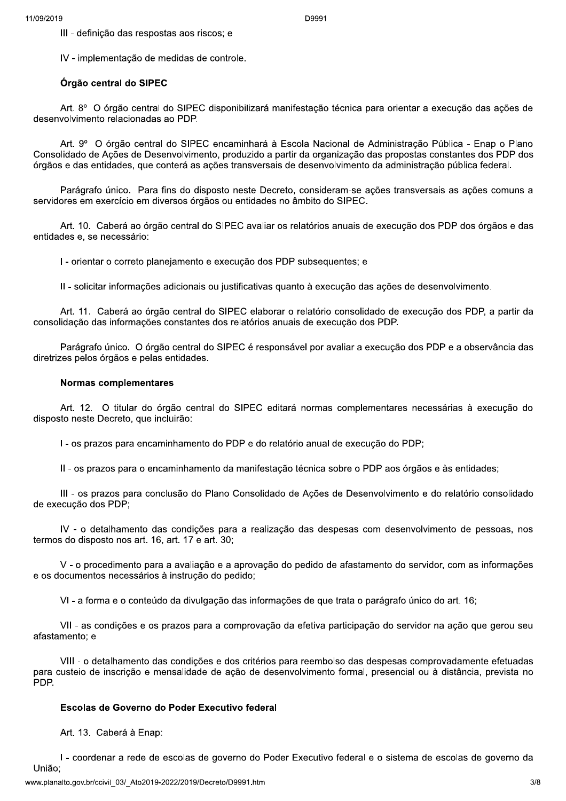III - definição das respostas aos riscos; e

IV - implementação de medidas de controle.

# Órgão central do SIPEC

Art. 8º O órgão central do SIPEC disponibilizará manifestação técnica para orientar a execução das ações de desenvolvimento relacionadas ao PDP.

Art. 9º O órgão central do SIPEC encaminhará à Escola Nacional de Administração Pública - Enap o Plano Consolidado de Ações de Desenvolvimento, produzido a partir da organização das propostas constantes dos PDP dos órgãos e das entidades, que conterá as ações transversais de desenvolvimento da administração pública federal.

Parágrafo único. Para fins do disposto neste Decreto, consideram-se ações transversais as ações comuns a servidores em exercício em diversos órgãos ou entidades no âmbito do SIPEC.

Art. 10. Caberá ao órgão central do SIPEC avaliar os relatórios anuais de execução dos PDP dos órgãos e das entidades e, se necessário:

I - orientar o correto planejamento e execução dos PDP subsequentes; e

II - solicitar informações adicionais ou justificativas quanto à execução das ações de desenvolvimento.

Art. 11. Caberá ao órgão central do SIPEC elaborar o relatório consolidado de execução dos PDP, a partir da consolidação das informações constantes dos relatórios anuais de execução dos PDP.

Parágrafo único. O órgão central do SIPEC é responsável por avaliar a execução dos PDP e a observância das diretrizes pelos órgãos e pelas entidades.

### **Normas complementares**

Art. 12. O titular do órgão central do SIPEC editará normas complementares necessárias à execução do disposto neste Decreto, que incluirão:

I - os prazos para encaminhamento do PDP e do relatório anual de execução do PDP;

II - os prazos para o encaminhamento da manifestação técnica sobre o PDP aos órgãos e às entidades;

III - os prazos para conclusão do Plano Consolidado de Ações de Desenvolvimento e do relatório consolidado de execução dos PDP;

IV - o detalhamento das condições para a realização das despesas com desenvolvimento de pessoas, nos termos do disposto nos art. 16, art. 17 e art. 30:

V - o procedimento para a avaliação e a aprovação do pedido de afastamento do servidor, com as informações e os documentos necessários à instrução do pedido;

VI - a forma e o conteúdo da divulgação das informações de que trata o parágrafo único do art. 16;

VII - as condições e os prazos para a comprovação da efetiva participação do servidor na ação que gerou seu afastamento; e

VIII - o detalhamento das condições e dos critérios para reembolso das despesas comprovadamente efetuadas para custeio de inscrição e mensalidade de ação de desenvolvimento formal, presencial ou à distância, prevista no PDP.

### Escolas de Governo do Poder Executivo federal

Art. 13. Caberá à Enap:

I - coordenar a rede de escolas de governo do Poder Executivo federal e o sistema de escolas de governo da União: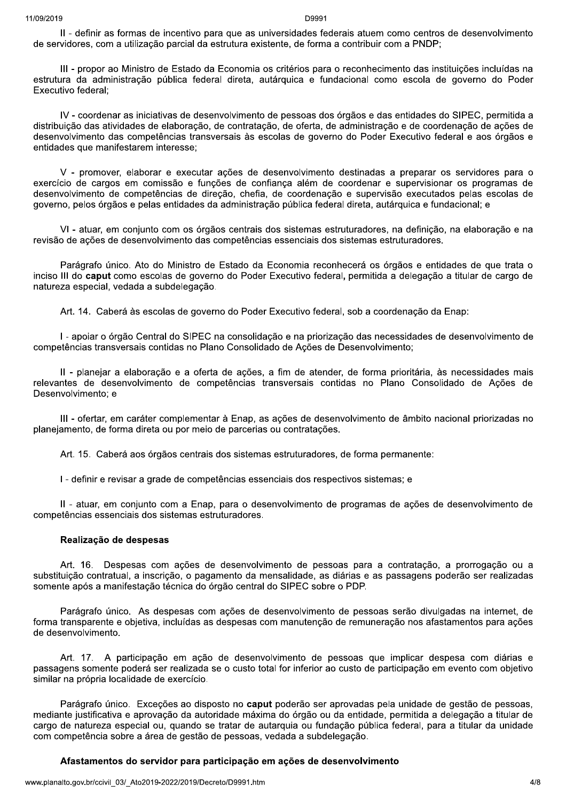II - definir as formas de incentivo para que as universidades federais atuem como centros de desenvolvimento de servidores, com a utilização parcial da estrutura existente, de forma a contribuir com a PNDP;

III - propor ao Ministro de Estado da Economia os critérios para o reconhecimento das instituições incluídas na estrutura da administração pública federal direta, autárquica e fundacional como escola de governo do Poder Executivo federal:

IV - coordenar as iniciativas de desenvolvimento de pessoas dos órgãos e das entidades do SIPEC, permitida a distribuição das atividades de elaboração, de contratação, de oferta, de administração e de coordenação de ações de desenvolvimento das competências transversais às escolas de governo do Poder Executivo federal e aos órgãos e entidades que manifestarem interesse;

V - promover, elaborar e executar ações de desenvolvimento destinadas a preparar os servidores para o exercício de cargos em comissão e funções de confiança além de coordenar e supervisionar os programas de desenvolvimento de competências de direção, chefia, de coordenação e supervisão executados pelas escolas de governo, pelos órgãos e pelas entidades da administração pública federal direta, autárquica e fundacional; e

VI - atuar, em conjunto com os órgãos centrais dos sistemas estruturadores, na definição, na elaboração e na revisão de ações de desenvolvimento das competências essenciais dos sistemas estruturadores.

Parágrafo único. Ato do Ministro de Estado da Economia reconhecerá os órgãos e entidades de que trata o inciso III do caput como escolas de governo do Poder Executivo federal, permitida a delegação a titular de cargo de natureza especial, vedada a subdelegação.

Art. 14. Caberá às escolas de governo do Poder Executivo federal, sob a coordenação da Enap:

I - apoiar o órgão Central do SIPEC na consolidação e na priorização das necessidades de desenvolvimento de competências transversais contidas no Plano Consolidado de Ações de Desenvolvimento;

II - planejar a elaboração e a oferta de ações, a fim de atender, de forma prioritária, às necessidades mais relevantes de desenvolvimento de competências transversais contidas no Plano Consolidado de Ações de Desenvolvimento: e

III - ofertar, em caráter complementar à Enap, as ações de desenvolvimento de âmbito nacional priorizadas no planejamento, de forma direta ou por meio de parcerias ou contratações.

Art. 15. Caberá aos órgãos centrais dos sistemas estruturadores, de forma permanente:

I - definir e revisar a grade de competências essenciais dos respectivos sistemas; e

II - atuar, em conjunto com a Enap, para o desenvolvimento de programas de ações de desenvolvimento de competências essenciais dos sistemas estruturadores.

### Realização de despesas

Art. 16. Despesas com ações de desenvolvimento de pessoas para a contratação, a prorrogação ou a substituição contratual, a inscrição, o pagamento da mensalidade, as diárias e as passagens poderão ser realizadas somente após a manifestação técnica do órgão central do SIPEC sobre o PDP.

Parágrafo único. As despesas com acões de desenvolvimento de pessoas serão divulgadas na internet, de forma transparente e obietiva, incluídas as despesas com manutenção de remuneração nos afastamentos para ações de desenvolvimento.

Art. 17. A participação em ação de desenvolvimento de pessoas que implicar despesa com diárias e passagens somente poderá ser realizada se o custo total for inferior ao custo de participação em evento com objetivo similar na própria localidade de exercício.

Parágrafo único. Exceções ao disposto no caput poderão ser aprovadas pela unidade de gestão de pessoas, mediante justificativa e aprovação da autoridade máxima do órgão ou da entidade, permitida a delegação a titular de cargo de natureza especial ou, quando se tratar de autarquia ou fundação pública federal, para a titular da unidade com competência sobre a área de gestão de pessoas, vedada a subdelegação.

### Afastamentos do servidor para participação em ações de desenvolvimento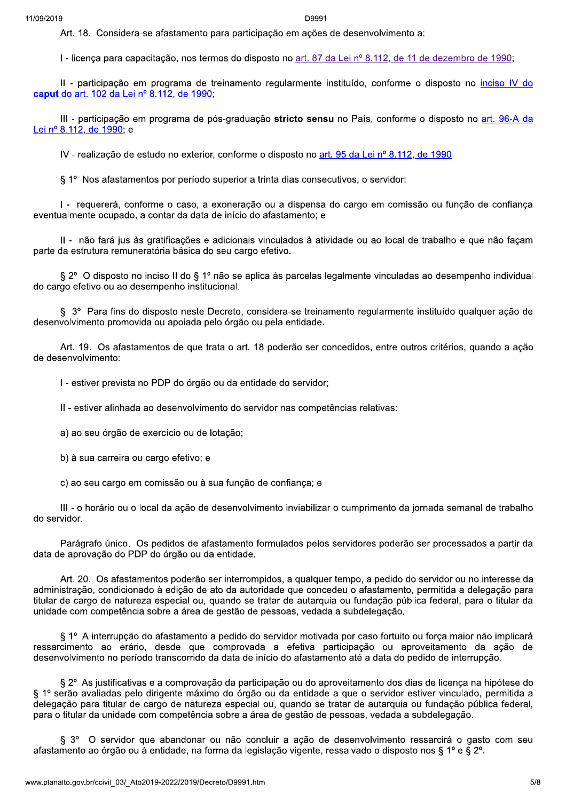Art. 18. Considera-se afastamento para participação em ações de desenvolvimento a:

I - licença para capacitação, nos termos do disposto no art. 87 da Lei nº 8.112, de 11 de dezembro de 1990;

Il - participação em programa de treinamento regularmente instituído, conforme o disposto no inciso IV do caput do art. 102 da Lei nº 8.112, de 1990.

III - participação em programa de pós-graduação stricto sensu no País, conforme o disposto no art. 96-A da Lei nº 8.112, de 1990; e

IV - realização de estudo no exterior, conforme o disposto no art. 95 da Lei nº 8.112, de 1990.

§ 1° Nos afastamentos por período superior a trinta dias consecutivos, o servidor:

I - requererá, conforme o caso, a exoneração ou a dispensa do cargo em comissão ou função de confiança eventualmente ocupado, a contar da data de início do afastamento; e

II - não fará jus às gratificações e adicionais vinculados à atividade ou ao local de trabalho e que não façam parte da estrutura remuneratória básica do seu cargo efetivo.

§ 2° O disposto no inciso II do § 1º não se aplica às parcelas legalmente vinculadas ao desempenho individual do cargo efetivo ou ao desempenho institucional.

§ 3º Para fins do disposto neste Decreto, considera-se treinamento regularmente instituído qualquer ação de desenvolvimento promovida ou apoiada pelo órgão ou pela entidade.

Art. 19. Os afastamentos de que trata o art. 18 poderão ser concedidos, entre outros critérios, quando a acão de desenvolvimento:

I - estiver prevista no PDP do órgão ou da entidade do servidor;

II - estiver alinhada ao desenvolvimento do servidor nas competências relativas:

a) ao seu órgão de exercício ou de lotação:

b) à sua carreira ou cargo efetivo; e

c) ao seu cargo em comissão ou à sua função de confiança; e

III - o horário ou o local da ação de desenvolvimento inviabilizar o cumprimento da jornada semanal de trabalho do servidor.

Parágrafo único. Os pedidos de afastamento formulados pelos servidores poderão ser processados a partir da data de aprovação do PDP do órgão ou da entidade.

Art. 20. Os afastamentos poderão ser interrompidos, a qualquer tempo, a pedido do servidor ou no interesse da administração, condicionado à edição de ato da autoridade que concedeu o afastamento, permitida a delegação para titular de cargo de natureza especial ou, quando se tratar de autarquia ou fundação pública federal, para o titular da unidade com competência sobre a área de gestão de pessoas, vedada a subdelegação.

§ 1º A interrupção do afastamento a pedido do servidor motivada por caso fortuito ou forca maior não implicará ressarcimento ao erário, desde que comprovada a efetiva participação ou aproveitamento da ação de desenvolvimento no período transcorrido da data de início do afastamento até a data do pedido de interrupção.

§ 2º As justificativas e a comprovação da participação ou do aproveitamento dos dias de licença na hipótese do § 1º serão avaliadas pelo dirigente máximo do órgão ou da entidade a que o servidor estiver vinculado, permitida a delegação para titular de cargo de natureza especial ou, quando se tratar de autarquia ou fundação pública federal, para o titular da unidade com competência sobre a área de gestão de pessoas, vedada a subdelegação.

§ 3° O servidor que abandonar ou não concluir a ação de desenvolvimento ressarcirá o gasto com seu afastamento ao órgão ou à entidade, na forma da legislação vigente, ressalvado o disposto nos § 1º e § 2º.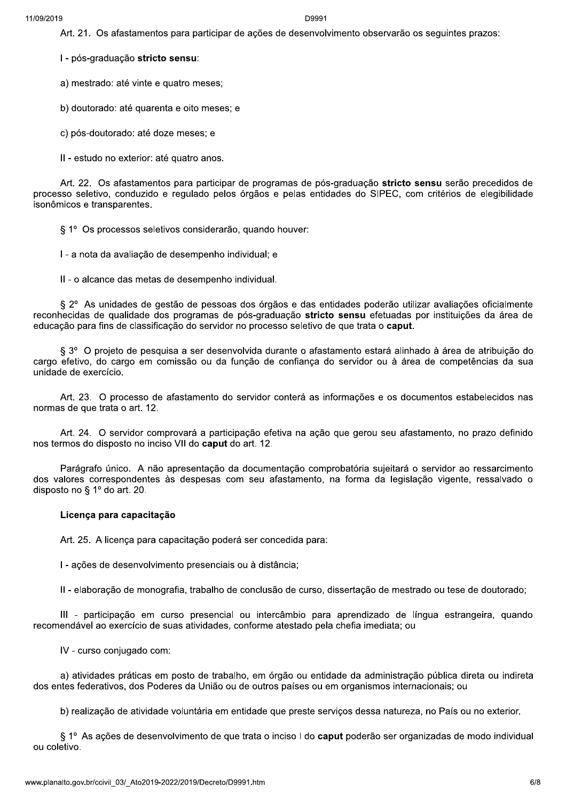Art. 21. Os afastamentos para participar de ações de desenvolvimento observarão os seguintes prazos:

I - pós-graduação stricto sensu:

a) mestrado: até vinte e quatro meses;

b) doutorado: até quarenta e oito meses; e

c) pós-doutorado: até doze meses; e

II - estudo no exterior: até quatro anos.

Art. 22. Os afastamentos para participar de programas de pós-graduação stricto sensu serão precedidos de processo seletivo, conduzido e regulado pelos órgãos e pelas entidades do SIPEC, com critérios de elegibilidade isonômicos e transparentes.

§ 1º Os processos seletivos considerarão, quando houver:

I - a nota da avaliação de desempenho individual; e

II - o alcance das metas de desempenho individual.

§ 2° As unidades de gestão de pessoas dos órgãos e das entidades poderão utilizar avaliações oficialmente reconhecidas de qualidade dos programas de pós-graduação stricto sensu efetuadas por instituições da área de educação para fins de classificação do servidor no processo seletivo de que trata o caput.

§ 3º O projeto de pesquisa a ser desenvolvida durante o afastamento estará alinhado à área de atribuição do cargo efetivo, do cargo em comissão ou da função de confianca do servidor ou à área de competências da sua unidade de exercício.

Art. 23. O processo de afastamento do servidor conterá as informações e os documentos estabelecidos nas normas de que trata o art. 12.

Art. 24. O servidor comprovará a participação efetiva na ação que gerou seu afastamento, no prazo definido nos termos do disposto no inciso VII do caput do art. 12.

Parágrafo único. A não apresentação da documentação comprobatória sujeitará o servidor ao ressarcimento dos valores correspondentes às despesas com seu afastamento, na forma da legislação vigente, ressalvado o disposto no § 1º do art. 20.

#### Licença para capacitação

Art. 25. A licenca para capacitação poderá ser concedida para:

I - ações de desenvolvimento presenciais ou à distância;

II - elaboração de monografia, trabalho de conclusão de curso, dissertação de mestrado ou tese de doutorado;

III - participação em curso presencial ou intercâmbio para aprendizado de língua estrangeira, quando recomendável ao exercício de suas atividades, conforme atestado pela chefia imediata; ou

IV - curso conjugado com:

a) atividades práticas em posto de trabalho, em órgão ou entidade da administração pública direta ou indireta dos entes federativos, dos Poderes da União ou de outros países ou em organismos internacionais; ou

b) realização de atividade voluntária em entidade que preste serviços dessa natureza, no País ou no exterior.

§ 1º As ações de desenvolvimento de que trata o inciso I do caput poderão ser organizadas de modo individual ou coletivo.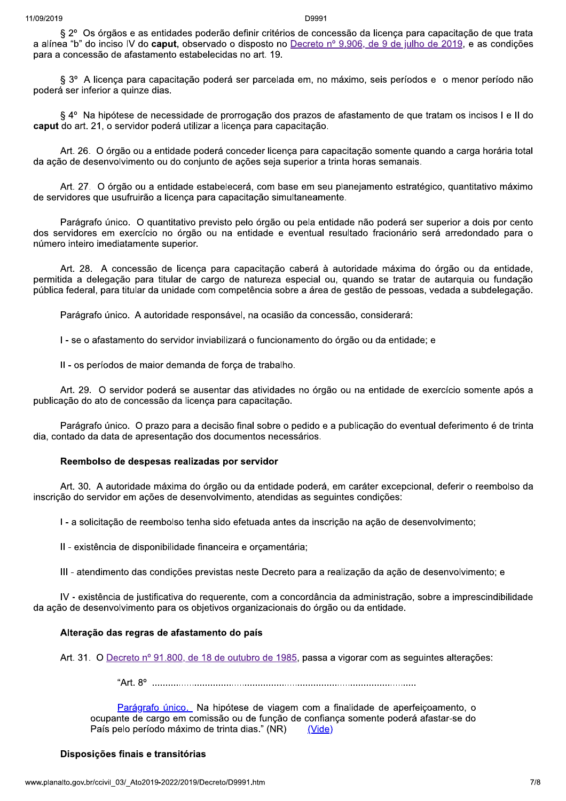§ 2º Os órgãos e as entidades poderão definir critérios de concessão da licença para capacitação de que trata a alínea "b" do inciso IV do caput, observado o disposto no Decreto nº 9.906, de 9 de julho de 2019, e as condições para a concessão de afastamento estabelecidas no art. 19.

§ 3º A licenca para capacitação poderá ser parcelada em, no máximo, seis períodos e o menor período não poderá ser inferior a quinze dias.

§ 4º Na hipótese de necessidade de prorrogação dos prazos de afastamento de que tratam os incisos I e II do caput do art. 21, o servidor poderá utilizar a licença para capacitação.

Art. 26. O órgão ou a entidade poderá conceder licença para capacitação somente quando a carga horária total da ação de desenvolvimento ou do conjunto de ações seja superior a trinta horas semanais.

Art. 27. O órgão ou a entidade estabelecerá, com base em seu planejamento estratégico, quantitativo máximo de servidores que usufruirão a licenca para capacitação simultaneamente.

Parágrafo único. O quantitativo previsto pelo órgão ou pela entidade não poderá ser superior a dois por cento dos servidores em exercício no órgão ou na entidade e eventual resultado fracionário será arredondado para o número inteiro imediatamente superior.

Art. 28. A concessão de licença para capacitação caberá à autoridade máxima do órgão ou da entidade, permitida a delegação para titular de cargo de natureza especial ou, quando se tratar de autarquia ou fundação pública federal, para titular da unidade com competência sobre a área de gestão de pessoas, vedada a subdelegação.

Parágrafo único. A autoridade responsável, na ocasião da concessão, considerará:

I - se o afastamento do servidor inviabilizará o funcionamento do órgão ou da entidade; e

Il - os períodos de maior demanda de força de trabalho.

Art. 29. O servidor poderá se ausentar das atividades no órgão ou na entidade de exercício somente após a publicação do ato de concessão da licença para capacitação.

Parágrafo único. O prazo para a decisão final sobre o pedido e a publicação do eventual deferimento é de trinta dia, contado da data de apresentação dos documentos necessários.

### Reembolso de despesas realizadas por servidor

Art. 30. A autoridade máxima do órgão ou da entidade poderá, em caráter excepcional, deferir o reembolso da inscrição do servidor em ações de desenvolvimento, atendidas as seguintes condições:

I - a solicitação de reembolso tenha sido efetuada antes da inscrição na ação de desenvolvimento;

II - existência de disponibilidade financeira e orçamentária;

III - atendimento das condições previstas neste Decreto para a realização da ação de desenvolvimento: e

IV - existência de justificativa do requerente, com a concordância da administração, sobre a imprescindibilidade da ação de desenvolvimento para os objetivos organizacionais do órgão ou da entidade.

### Alteração das regras de afastamento do país

Art. 31. O Decreto nº 91.800, de 18 de outubro de 1985, passa a vigorar com as seguintes alterações:

Parágrafo único. Na hipótese de viagem com a finalidade de aperfeicoamento, o ocupante de cargo em comissão ou de função de confianca somente poderá afastar-se do País pelo período máximo de trinta dias." (NR) (Vide)

# Disposições finais e transitórias